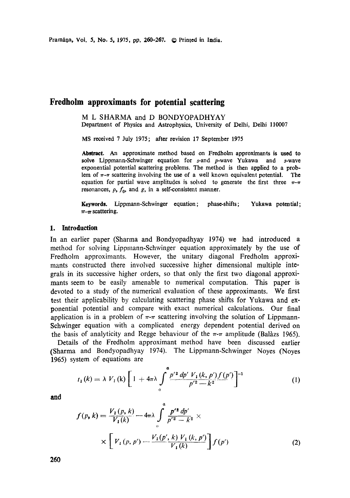# **Fredholm approximants for potential scattering**

M L SHARMA and D BONDYOPADHYAY Department of Physics and Astrophysics, University of Delhi, Delhi 110007

MS received 7 July 1975; after revision 17 September 1975

**Abstract. An approximate** method based on Fredholm approximants is used **to**  solve Lippmann-Schwinger equation for s-and p-wave Yukawa and s-wave exponential potential scattering problems. The method is then applied to a problem of  $\pi$ - $\pi$  scattering involving the use of a well known equivalent potential. The equation for partial wave amplitudes is solved to generate the first three  $\pi-\pi$ resonances,  $\rho$ ,  $f_0$ , and g, in a self-consistent manner.

Keywords. Lippmann-Schwinger equation; phase-shifts;  $\pi-\pi$  scattering. **Yukawa potential;** 

# **1. Introduction**

In an earlier paper (Sharma and Bondyopadhyay 1974) we had introduced a method for solving Lippmann-Schwinger equation approximately by the use of Fredholm approximants. However, the unitary diagonal Fredholm approximants constructed there involved successive higher dimensional multiple integrals in its successive higher orders, so that only the first two diagonal approximants seem to be easily amenable to numerical computation. This paper is devoted to a study of the numerical evaluation of these approximants. We first test their applicability by calculating scattering phase shifts for Yukawa and exponential potential and compare with exact numerical calculations. Our final application is in a problem of  $\pi$ - $\pi$  scattering involving the solution of Lippmann-Schwinger equation with a complicated energy dependent potential derived on the basis of analyticity and Regge behaviour of the  $\pi$ - $\pi$  amplitude (Balàzs 1965).

Details of the Fredholm approximant method have been discussed earlier (Sharma and Bondyopadhyay 1974). The Lippmann-Schwinger Noyes (Noyes 1965) system of equations are

$$
t_1(k) = \lambda V_1(k) \left[ 1 + 4\pi \lambda \int_{0}^{\alpha} \frac{p'^2 dp' V_1(k, p') f(p')}{p'^2 - k^2} \right]^{-1}
$$
 (1)

and

$$
f(p, k) = \frac{V_1(p, k)}{V_1(k)} - 4\pi\lambda \int_{0}^{a} \frac{p'^2 dp'}{p'^2 - k^2} \times \times \times \left[ V_1(p, p') - \frac{V_1(p', k) V_1(k, p')}{V_1(k)} \right] f(p')
$$
 (2)

**260**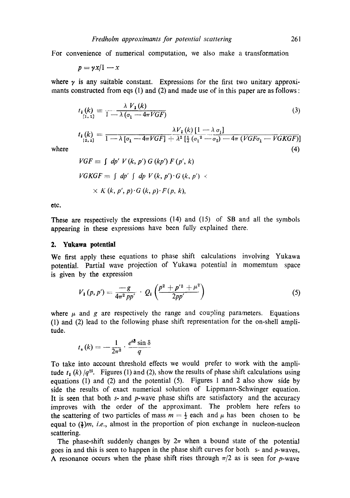For convenience of numerical computation, we also make a transformation

$$
p = \gamma x/1 - x
$$

where  $\gamma$  is any suitable constant. Expressions for the first two unitary approximants constructed from eqs (1) and (2) and made use of in this paper are as follows :

$$
t_{1}(k) = \frac{\lambda V_{1}(k)}{1 - \lambda (\sigma_{1} - 4\pi VGF)}
$$
(3)

$$
t_{\mathbf{I}}(k) = \frac{\lambda V_{\mathbf{I}}(k) \left[1 - \lambda \sigma_{1}\right]}{1 - \lambda \left[\sigma_{1} - 4\pi VGF\right] + \lambda^{2} \left[\frac{1}{2} \left(\sigma_{1}^{2} - \sigma_{2}\right) - 4\pi \left(VGF\sigma_{1} - VGKGF\right)\right]}
$$
\nwhere

\n(4)

$$
VGF \equiv \int dp' V(k, p') G(kp') F(p', k)
$$
  
\n
$$
VGKGF \equiv \int dp' \int dp V(k, p') G(k, p') \times
$$
  
\n
$$
\times K(k, p', p) G(k, p) F(p, k),
$$

etc.

These are respectively the expressions (14) and (15) of SB and all the symbols appearing in these expressions have been fully explained there.

#### **2. Ynkawa potential**

We first apply these equations to phase shift calculations involving Yukawa potential. Partial wave projection of Yukawa potential in momemtum space is given by the expression

$$
V_{\mathbf{i}}(p,p') = \frac{-g}{4\pi^2\,pp'} \cdot Q_{\mathbf{i}}\left(\frac{p^2+p'^2+\mu^2}{2pp'}\right) \tag{5}
$$

where  $\mu$  and g are respectively the range and coupling parameters. Equations (1) and (2) lead to the following phase shift representation for the on-shell amplitude.

$$
t_{e}(k) = -\frac{1}{2\pi^{2}} \cdot \frac{e^{i\delta}\sin\delta}{q}
$$

To take into account threshold effects we would prefer to work with the amplitude  $t_1(k)/q^{2l}$ . Figures (1) and (2), show the results of phase shift calculations using equations (1) and (2) and the potential (5). Figures 1 and 2 also show side by side the results of exact numerical solution of Lippmann-Schwinger equation. It is seen that both  $s$ - and  $p$ -wave phase shifts are satisfactory and the accuracy improves with the order of the approximant. The problem here refers to the scattering of two particles of mass  $m = \frac{1}{2}$  each and  $\mu$  has been chosen to be equal to  $(\frac{1}{k})m$ , *i.e.*, almost in the proportion of pion exchange in nucleon-nucleon scattering.

The phase-shift suddenly changes by  $2\pi$  when a bound state of the potential goes in and this is seen to happen in the phase shift curves for both s- and p-waves. A resonance occurs when the phase shift rises through  $\pi/2$  as is seen for p-wave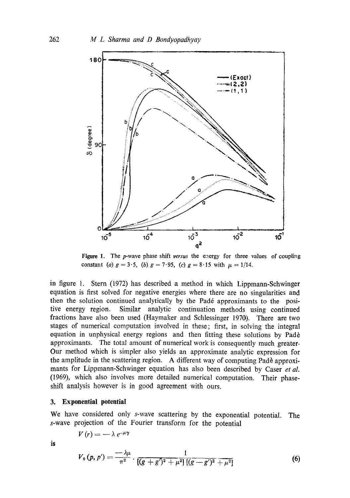

Figure 1. The p-wave phase shift *versus* the energy for three values of coupling constant (a)  $g = 3.5$ , (b)  $g = 7.95$ , (c)  $g = 8.15$  with  $\mu = 1/14$ .

in figure 1. Stern (1972) has described a method in which Lippmann-Schwinger equation is first solved for negative energies where there are no singularities and then the solution continued analytically by the Pad6 approximants to the positive energy region. Similar analytic continuation methods using continued fractions have also been used (Haymaker and Schlessinger 1970). There are two stages of numerical computation involved in these; first, in solving the integral equation in unphysical energy regions and then fitting these solutions by Padè approximants. The total amount of numerical work is consequently much greater. Our method which is simpler also yields an approximate analytic expression for the amplitude in the scattering region. A different way of computing Pade approximants for Lippmann-Schwinger equation has also been described by Caser *et al.*  (1969), which also involves more detailed numerical computation. Their phaseshift analysis however is in good agreement with ours.

### **3. Exponential potential**

We have considered only s-wave scattering by the exponential potential. The s-wave projection of the Fourier transform for the potential

$$
V(r) = -\lambda e^{-\mu \gamma}
$$

is

$$
V_0(p, p') = \frac{-\lambda \mu}{\pi^2} \cdot \frac{1}{[(g + g')^2 + \mu^2] \left[ (g - g')^2 + \mu^2 \right]}
$$
(6)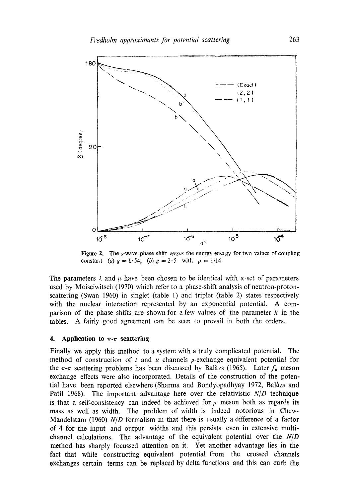

Figure 2. The s-wave phase shift *versus* the energy-energy for two values of coupling constant (a)  $g = 1.54$ , (b)  $g = 2.5$  with  $\mu = 1/14$ .

The parameters  $\lambda$  and  $\mu$  have been chosen to be identical with a set of parameters used by Moiseiwitsch (1970) which refer to a phase-shift analysis of neutron-protonscattering (Swan 1960) in singlet (table 1) and triplet (table 2) states respectively with the nuclear interaction represented by an exponential potential. A comparison of the phase shifts are shown for a few values of the parameter  $k$  in the tables. A fairly good agreement cau be seen to prevail in both the orders.

# **4.** Application to  $\pi$ - $\pi$  scattering

Finally we apply this method to a system with a truly complicated potential. The method of construction of t and u channels  $\rho$ -exchange equivalent potential for the  $\pi$ - $\pi$  scattering problems has been discussed by Balàzs (1965). Later  $f_0$  meson exchange effects were also incorporated. Details of the construction of the potential have been reported elsewhere (Sharma and Bondyopadhyay 1972, Balàzs and Patil 1968). The important advantage here over the relativistic  $N/D$  technique is that a self-consistency can indeed be achieved for  $\rho$  meson both as regards its mass as well as width. The problem of width is indeed notorious in Chew-Mandelstam (1960) *N/D* formalism in that there is usually a difference of a factor of 4 for the input and output widths and this persists even in extensive multichannel calculations. The advantage of the equivalent potential over the *N/D*  method has sharply focussed attention on it. Yet another advantage lies in the fact that while constructing equivalent potential from the crossed channels exchanges certain terms can be replaced by delta functions and this can curb **the**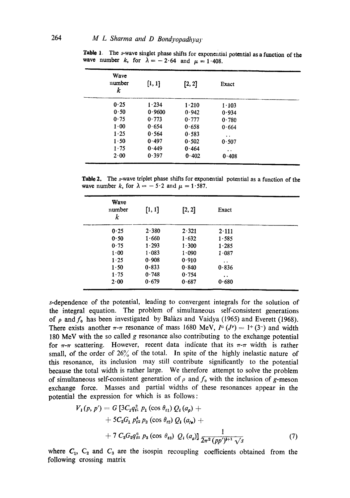| Wave<br>number<br>k | [1, 1] | [2, 2] | Exact                |  |
|---------------------|--------|--------|----------------------|--|
| 0.25                | 1.234  | 1.210  | $1 - 103$            |  |
| 0.50                | 0.9600 | 0.942  | 0.934                |  |
| 0.75                | 0.773  | 0.777  | 0.780                |  |
| 1.00                | 0.654  | 0.658  | 0.664                |  |
| 1.25                | 0.564  | 0.583  | $\ddot{\phantom{1}}$ |  |
| 1.50                | 0.497  | 0.502  | 0.507                |  |
| $1 - 75$            | 0.449  | 0.464  | $\ddot{\phantom{1}}$ |  |
| 2.00                | 0.397  | 0.402  | 0.408                |  |

Table 1. The s-wave singlet phase shifts for exponential potential as a function of the wave number k, for  $\lambda = -2.64$  and  $\mu = 1.408$ .

**Table** 2. The s-wave triplet phase shifts for exponential potential as a function of the wave number k, for  $\lambda = -5.2$  and  $\mu = 1.587$ .

| Wave<br>number<br>k | [1, 1] | [2, 2]    | Exact                |  |
|---------------------|--------|-----------|----------------------|--|
| 0.25                | 2.380  | 2.321     | 2.111                |  |
| 0.50                | 1.660  | 1.632     | 1.585                |  |
| 0.75                | 1.293  | 1.300     | 1.285                |  |
| $1 - 00$            | 1.083  | $1 - 090$ | 1.087                |  |
| 1.25                | 0.908  | 0.910     | $\ddot{\phantom{a}}$ |  |
| 1.50                | 0.833  | 0.840     | 0.836                |  |
| 1.75                | 0.748  | 0.754     | $\bullet\ \bullet$   |  |
| 2.00                | 0.679  | 0.687     | 0.680                |  |

s-dependence of the potential, leading to convergent integrals for the solution of the integral equation. The problem of simultaneous self-consistent generations of  $\rho$  and  $f_0$  has been investigated by Balax and Vaidya (1965) and Everett (1968). There exists another  $\pi$ - $\pi$  resonance of mass 1680 MeV,  $I^G (J^P) = 1^+(3^-)$  and width 180 MeV with the so called g resonance also contributing to the exchange potential for  $\pi$ - $\pi$  scattering. However, recent data indicate that its  $\pi$ - $\pi$  width is rather small, of the order of  $26\%$  of the total. In spite of the highly inelastic nature of this resonance, its inclusion may still contribute significantly to the potential because the total width is rather large. We therefore attempt to solve the problem of simultaneous self-consistent generation of  $\rho$  and  $f_0$  with the inclusion of g-meson exchange force. Masses and partial widths of these resonances appear in the potential the expression for which is as follows:

$$
V_1(p, p') = G \left[ 3C_1 q_{t1}^2 p_1 (\cos \theta_{t1}) Q_1(a_p) ++ 5C_2 G_1 p_{t2}^4 p_2 (\cos \theta_{t2}) Q_1(a_{t2}) ++ 7 C_3 G_2 q_{t3}^6 p_3 (\cos \theta_{t3}) Q_1(a_q) \right] \frac{1}{2\pi^2 (pp')^{l+1} \sqrt{s}}
$$
(7)

where  $C_1$ ,  $C_2$  and  $C_3$  are the isospin recoupling coefficients obtained from the following crossing matrix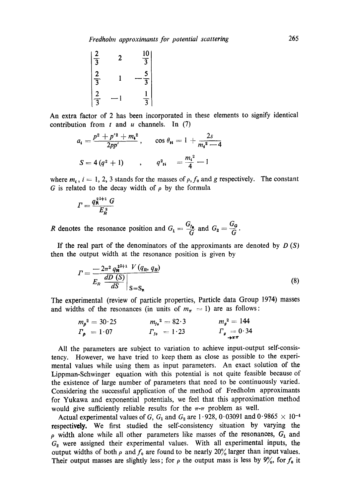$$
\begin{array}{ccc}\n2 & 2 & \frac{10}{3} \\
\frac{2}{3} & 1 & -\frac{5}{3} \\
\frac{2}{3} & -1 & \frac{1}{3}\n\end{array}
$$

An extra factor of 2 has been incorporated in these elements to signify identical contribution from t and u channels. In  $(7)$ 

$$
a_{i} = \frac{p^{2} + p'^{2} + m_{i}^{2}}{2pp'}, \qquad \cos \theta_{ii} = 1 + \frac{2s}{m_{i}^{2} - 4}
$$

$$
S = 4 (q^{2} + 1) \qquad , \qquad q^{2}_{ii} = \frac{m_{i}^{2}}{4} - 1
$$

where  $m_i$ ,  $i = 1, 2, 3$  stands for the masses of  $\rho$ ,  $f_0$  and g respectively. The constant G is related to the decay width of  $\rho$  by the formula

$$
F = \frac{q_{\mathsf{R}}^{2^{1+1}} G}{E_{\mathsf{R}}^2}
$$

R denotes the resonance position and  $G_1 = \frac{G_f}{G}$  and  $G_2 = \frac{G_g}{G}$ 

If the real part of the denominators of the approximants are denoted by  $D(S)$ then the output width at the resonance position is given by

$$
I = \frac{-2\pi^2 q_{\mathbf{R}}^{2l+1} V(q_R, q_R)}{E_R \frac{dD(S)}{dS} \Big|_{S=S_{\mathbf{R}}}}
$$
(8)

The experimental (review of particle properties, Particle data Group 1974) masses and widths of the resonances (in units of  $m_{\pi} = 1$ ) are as follows:

$$
m_{\rho}^{2} = 30.25
$$
  
\n
$$
m_{\rho}^{2} = 30.25
$$
  
\n
$$
m_{\rho}^{2} = 144
$$
  
\n
$$
r_{\rho} = 1.07
$$
  
\n
$$
m_{\rho}^{2} = 144
$$
  
\n
$$
r_{\rho} = 0.34
$$
  
\n
$$
m_{\rho}^{2} = 144
$$
  
\n
$$
r_{\rho} = 0.34
$$

All the parameters are subject to variation to achieve input-output self-consistency. However, we have tried to keep them as close as possible to the experimental values while using them as input parameters. An exact solution of the Lippman-Schwinger equation with this potential is not quite feasible because of the existence of large number of parameters that need to be continuously varied. Considering the successful application of the method of Fredholm approximants for Yukawa and exponential potentials, we feel that this approximation method would give sufficiently reliable results for the  $\pi$ - $\pi$  problem as well.

Actual experimental values of G,  $G_1$  and  $G_2$  are 1.928, 0.03091 and 0.9865  $\times$  10<sup>-4</sup> respectively. We first studied the self-consistency situation by varying the  $\rho$  width alone while all other parameters like masses of the resonances,  $G_1$  and  $G<sub>2</sub>$  were assigned their experimental values. With all experimental inputs, the output widths of both  $\rho$  and  $f_0$  are found to be nearly 20% larger than input values. Their output masses are slightly less; for  $\rho$  the output mass is less by  $9\%$ , for  $f_0$  it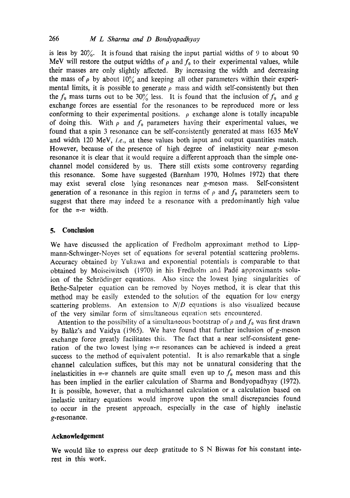is less by  $20\%$ . It is found that raising the input partial widths of 9 to about 90 MeV will restore the output widths of  $\rho$  and  $f_0$  to their experimental values, while their masses are only slightly affected. By increasing the width and decreasing the mass of  $\rho$  by about 10% and keeping all other parameters within their experimental limits, it is possible to generate  $\rho$  mass and width self-consistently but then the  $f_0$  mass turns out to be 30% less. It is found that the inclusion of  $f_0$  and g exchange forces are essential for the resonances to be reproduced more or less conforming to their experimental positions.  $\rho$  exchange alone is totally incapable of doing this. With  $\rho$  and  $f_0$  parameters having their experimental values, we found that a spin 3 resonance can be self-consistently generated at mass 1635 MeV and width 120 MeV, *i.e.*, at these values both input and output quantities match. However, because of the presence of high degree of inelasticity near g-meson resonance it is clear that it would require a different approach than the simple onechannel model considered by us. There still exists some controversy regarding this resonance. Some have suggested (Barnham 1970, Holmes 1972) that there may exist several close lying resonances near g-meson mass. Self-consistent generation of a resonance in this region in terms of  $\rho$  and  $f_0$  parameters seem to suggest that there may indeed be a resonance with a predominantly high value for the  $\pi$ - $\pi$  width.

# **5. ConeIusion**

We have discussed the application of Fredholm approximant method to Lippmann-Schwinger-Noyes set of equations for several potential scattering problems. Accuracy obtained by Yukawa and exponential potentials is comparable to that obtained by Moiseiwitsch (1970) in his Fredholm and Pad6 approximants soluion of the Schrödinger equations. Also since the lowest lying singularities of Bethe-Salpeter equation can be removed by Noyes method, it is clear that this method may be easily extended to the solution of the equation for low energy scattering problems. An extension to  $N/D$  equations is also visualized because of the very similar form of simultaneous equation sets encountered.

Attention to the possibility of a simultaneous bootstrap of  $\rho$  and  $f_0$  was first drawn by Balàz's and Vaidya (1965). We have found that further inclusion of  $g$ -meson exchange force greatly facilitates this. The fact that a near self-consistent generation of the two lowest lying  $\pi$ - $\pi$  resonances can be achieved is indeed a great success to the method of equivalent potential. It is also remarkable that a single channel calculation suffices, but this may not be unnatural considering that the inelasticities in  $\pi$ - $\pi$  channels are quite small even up to  $f_0$  meson mass and this has been implied in the earlier calculation of Sharma and Bondyopadhyay (1972). It is possible, however, that a multichannel calculation or a calculation based on inelastic unitary equations would improve upon the small discrepancies found to occur in the present approach, especially in the case of highly inelastic g-resonance.

#### **Acknowledgement**

We would like to express our deep gratitude to S N Biswas for his constant interest in this work.